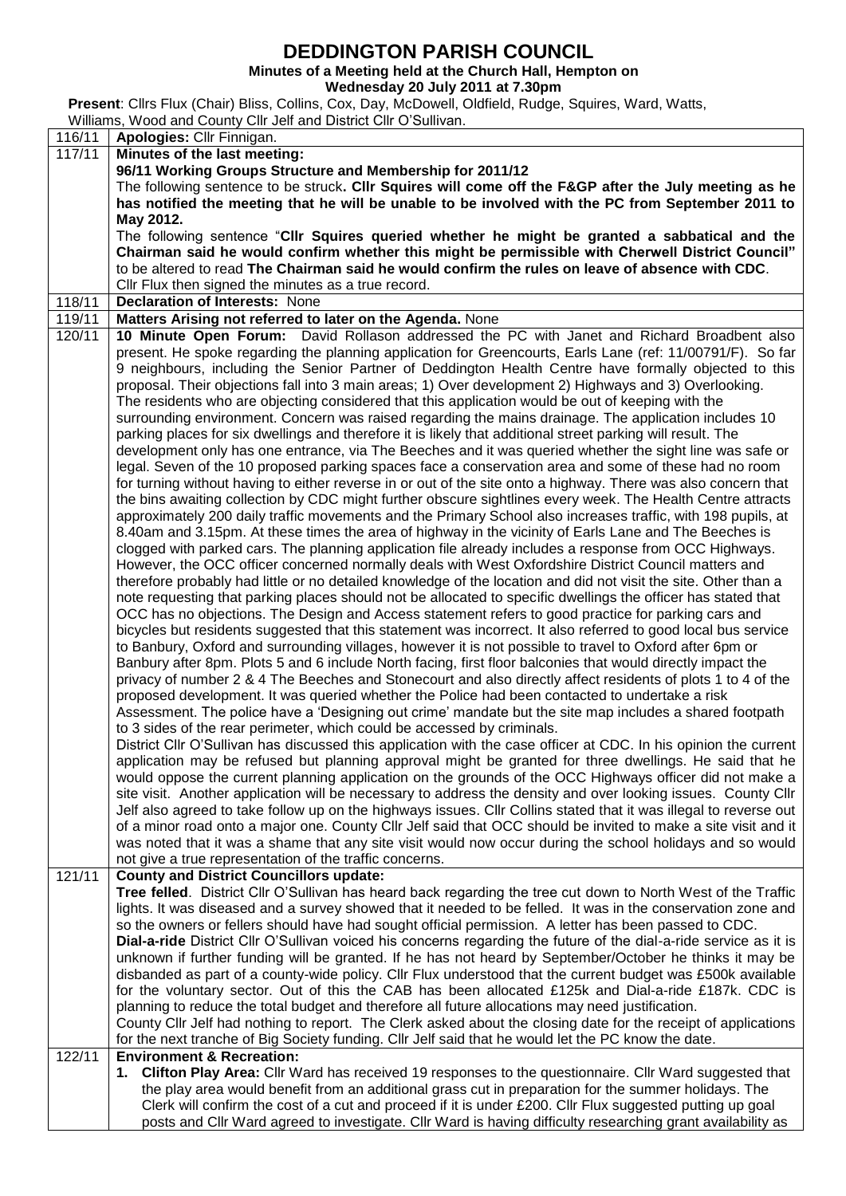## **DEDDINGTON PARISH COUNCIL**

**Minutes of a Meeting held at the Church Hall, Hempton on**

**Wednesday 20 July 2011 at 7.30pm**

**Present**: Cllrs Flux (Chair) Bliss, Collins, Cox, Day, McDowell, Oldfield, Rudge, Squires, Ward, Watts,

Williams, Wood and County Cllr Jelf and District Cllr O"Sullivan.

| 116/11 | Apologies: Cllr Finnigan.                                                                                         |  |  |  |  |  |
|--------|-------------------------------------------------------------------------------------------------------------------|--|--|--|--|--|
| 117/11 | Minutes of the last meeting:                                                                                      |  |  |  |  |  |
|        | 96/11 Working Groups Structure and Membership for 2011/12                                                         |  |  |  |  |  |
|        | The following sentence to be struck. Cllr Squires will come off the F&GP after the July meeting as he             |  |  |  |  |  |
|        | has notified the meeting that he will be unable to be involved with the PC from September 2011 to                 |  |  |  |  |  |
|        | May 2012.                                                                                                         |  |  |  |  |  |
|        | The following sentence "Cllr Squires queried whether he might be granted a sabbatical and the                     |  |  |  |  |  |
|        | Chairman said he would confirm whether this might be permissible with Cherwell District Council"                  |  |  |  |  |  |
|        | to be altered to read The Chairman said he would confirm the rules on leave of absence with CDC.                  |  |  |  |  |  |
|        | Cllr Flux then signed the minutes as a true record.                                                               |  |  |  |  |  |
| 118/11 | <b>Declaration of Interests: None</b>                                                                             |  |  |  |  |  |
| 119/11 | Matters Arising not referred to later on the Agenda. None                                                         |  |  |  |  |  |
| 120/11 | 10 Minute Open Forum: David Rollason addressed the PC with Janet and Richard Broadbent also                       |  |  |  |  |  |
|        | present. He spoke regarding the planning application for Greencourts, Earls Lane (ref: 11/00791/F). So far        |  |  |  |  |  |
|        | 9 neighbours, including the Senior Partner of Deddington Health Centre have formally objected to this             |  |  |  |  |  |
|        | proposal. Their objections fall into 3 main areas; 1) Over development 2) Highways and 3) Overlooking.            |  |  |  |  |  |
|        | The residents who are objecting considered that this application would be out of keeping with the                 |  |  |  |  |  |
|        | surrounding environment. Concern was raised regarding the mains drainage. The application includes 10             |  |  |  |  |  |
|        | parking places for six dwellings and therefore it is likely that additional street parking will result. The       |  |  |  |  |  |
|        | development only has one entrance, via The Beeches and it was queried whether the sight line was safe or          |  |  |  |  |  |
|        | legal. Seven of the 10 proposed parking spaces face a conservation area and some of these had no room             |  |  |  |  |  |
|        | for turning without having to either reverse in or out of the site onto a highway. There was also concern that    |  |  |  |  |  |
|        | the bins awaiting collection by CDC might further obscure sightlines every week. The Health Centre attracts       |  |  |  |  |  |
|        | approximately 200 daily traffic movements and the Primary School also increases traffic, with 198 pupils, at      |  |  |  |  |  |
|        |                                                                                                                   |  |  |  |  |  |
|        | 8.40am and 3.15pm. At these times the area of highway in the vicinity of Earls Lane and The Beeches is            |  |  |  |  |  |
|        | clogged with parked cars. The planning application file already includes a response from OCC Highways.            |  |  |  |  |  |
|        | However, the OCC officer concerned normally deals with West Oxfordshire District Council matters and              |  |  |  |  |  |
|        | therefore probably had little or no detailed knowledge of the location and did not visit the site. Other than a   |  |  |  |  |  |
|        | note requesting that parking places should not be allocated to specific dwellings the officer has stated that     |  |  |  |  |  |
|        | OCC has no objections. The Design and Access statement refers to good practice for parking cars and               |  |  |  |  |  |
|        | bicycles but residents suggested that this statement was incorrect. It also referred to good local bus service    |  |  |  |  |  |
|        | to Banbury, Oxford and surrounding villages, however it is not possible to travel to Oxford after 6pm or          |  |  |  |  |  |
|        | Banbury after 8pm. Plots 5 and 6 include North facing, first floor balconies that would directly impact the       |  |  |  |  |  |
|        | privacy of number 2 & 4 The Beeches and Stonecourt and also directly affect residents of plots 1 to 4 of the      |  |  |  |  |  |
|        | proposed development. It was queried whether the Police had been contacted to undertake a risk                    |  |  |  |  |  |
|        | Assessment. The police have a 'Designing out crime' mandate but the site map includes a shared footpath           |  |  |  |  |  |
|        | to 3 sides of the rear perimeter, which could be accessed by criminals.                                           |  |  |  |  |  |
|        | District Cllr O'Sullivan has discussed this application with the case officer at CDC. In his opinion the current  |  |  |  |  |  |
|        | application may be refused but planning approval might be granted for three dwellings. He said that he            |  |  |  |  |  |
|        | would oppose the current planning application on the grounds of the OCC Highways officer did not make a           |  |  |  |  |  |
|        | site visit. Another application will be necessary to address the density and over looking issues. County Cllr     |  |  |  |  |  |
|        | Jelf also agreed to take follow up on the highways issues. Cllr Collins stated that it was illegal to reverse out |  |  |  |  |  |
|        | of a minor road onto a major one. County Cllr Jelf said that OCC should be invited to make a site visit and it    |  |  |  |  |  |
|        | was noted that it was a shame that any site visit would now occur during the school holidays and so would         |  |  |  |  |  |
|        | not give a true representation of the traffic concerns.                                                           |  |  |  |  |  |
| 121/11 | <b>County and District Councillors update:</b>                                                                    |  |  |  |  |  |
|        | Tree felled. District Cllr O'Sullivan has heard back regarding the tree cut down to North West of the Traffic     |  |  |  |  |  |
|        | lights. It was diseased and a survey showed that it needed to be felled. It was in the conservation zone and      |  |  |  |  |  |
|        | so the owners or fellers should have had sought official permission. A letter has been passed to CDC.             |  |  |  |  |  |
|        | Dial-a-ride District Cllr O'Sullivan voiced his concerns regarding the future of the dial-a-ride service as it is |  |  |  |  |  |
|        | unknown if further funding will be granted. If he has not heard by September/October he thinks it may be          |  |  |  |  |  |
|        | disbanded as part of a county-wide policy. Cllr Flux understood that the current budget was £500k available       |  |  |  |  |  |
|        | for the voluntary sector. Out of this the CAB has been allocated £125k and Dial-a-ride £187k. CDC is              |  |  |  |  |  |
|        | planning to reduce the total budget and therefore all future allocations may need justification.                  |  |  |  |  |  |
|        | County CIIr Jelf had nothing to report. The Clerk asked about the closing date for the receipt of applications    |  |  |  |  |  |
|        | for the next tranche of Big Society funding. Cllr Jelf said that he would let the PC know the date.               |  |  |  |  |  |
| 122/11 | <b>Environment &amp; Recreation:</b>                                                                              |  |  |  |  |  |
|        | 1. Clifton Play Area: Cllr Ward has received 19 responses to the questionnaire. Cllr Ward suggested that          |  |  |  |  |  |
|        | the play area would benefit from an additional grass cut in preparation for the summer holidays. The              |  |  |  |  |  |
|        | Clerk will confirm the cost of a cut and proceed if it is under £200. Cllr Flux suggested putting up goal         |  |  |  |  |  |
|        | posts and CIIr Ward agreed to investigate. CIIr Ward is having difficulty researching grant availability as       |  |  |  |  |  |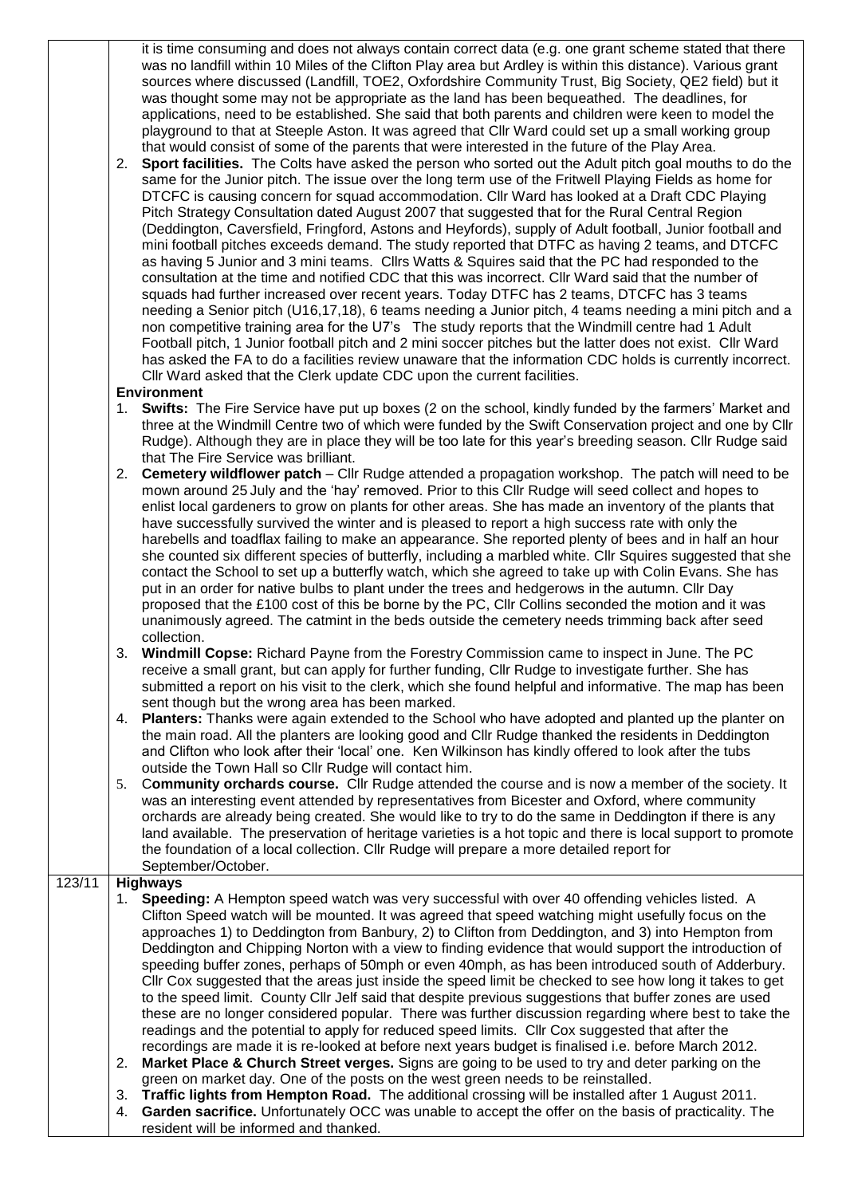it is time consuming and does not always contain correct data (e.g. one grant scheme stated that there was no landfill within 10 Miles of the Clifton Play area but Ardley is within this distance). Various grant sources where discussed (Landfill, TOE2, Oxfordshire Community Trust, Big Society, QE2 field) but it was thought some may not be appropriate as the land has been bequeathed. The deadlines, for applications, need to be established. She said that both parents and children were keen to model the playground to that at Steeple Aston. It was agreed that Cllr Ward could set up a small working group that would consist of some of the parents that were interested in the future of the Play Area.

2. **Sport facilities.** The Colts have asked the person who sorted out the Adult pitch goal mouths to do the same for the Junior pitch. The issue over the long term use of the Fritwell Playing Fields as home for DTCFC is causing concern for squad accommodation. Cllr Ward has looked at a Draft CDC Playing Pitch Strategy Consultation dated August 2007 that suggested that for the Rural Central Region (Deddington, Caversfield, Fringford, Astons and Heyfords), supply of Adult football, Junior football and mini football pitches exceeds demand. The study reported that DTFC as having 2 teams, and DTCFC as having 5 Junior and 3 mini teams. Cllrs Watts & Squires said that the PC had responded to the consultation at the time and notified CDC that this was incorrect. Cllr Ward said that the number of squads had further increased over recent years. Today DTFC has 2 teams, DTCFC has 3 teams needing a Senior pitch (U16,17,18), 6 teams needing a Junior pitch, 4 teams needing a mini pitch and a non competitive training area for the U7"s The study reports that the Windmill centre had 1 Adult Football pitch, 1 Junior football pitch and 2 mini soccer pitches but the latter does not exist. Cllr Ward has asked the FA to do a facilities review unaware that the information CDC holds is currently incorrect. Cllr Ward asked that the Clerk update CDC upon the current facilities.

## **Environment**

- 1. **Swifts:** The Fire Service have put up boxes (2 on the school, kindly funded by the farmers" Market and three at the Windmill Centre two of which were funded by the Swift Conservation project and one by Cllr Rudge). Although they are in place they will be too late for this year"s breeding season. Cllr Rudge said that The Fire Service was brilliant.
- 2. **Cemetery wildflower patch** Cllr Rudge attended a propagation workshop. The patch will need to be mown around 25 July and the "hay" removed. Prior to this Cllr Rudge will seed collect and hopes to enlist local gardeners to grow on plants for other areas. She has made an inventory of the plants that have successfully survived the winter and is pleased to report a high success rate with only the harebells and toadflax failing to make an appearance. She reported plenty of bees and in half an hour she counted six different species of butterfly, including a marbled white. Cllr Squires suggested that she contact the School to set up a butterfly watch, which she agreed to take up with Colin Evans. She has put in an order for native bulbs to plant under the trees and hedgerows in the autumn. Cllr Day proposed that the £100 cost of this be borne by the PC, Cllr Collins seconded the motion and it was unanimously agreed. The catmint in the beds outside the cemetery needs trimming back after seed collection.
- 3. **Windmill Copse:** Richard Payne from the Forestry Commission came to inspect in June. The PC receive a small grant, but can apply for further funding, Cllr Rudge to investigate further. She has submitted a report on his visit to the clerk, which she found helpful and informative. The map has been sent though but the wrong area has been marked.
- 4. **Planters:** Thanks were again extended to the School who have adopted and planted up the planter on the main road. All the planters are looking good and Cllr Rudge thanked the residents in Deddington and Clifton who look after their "local" one. Ken Wilkinson has kindly offered to look after the tubs outside the Town Hall so Cllr Rudge will contact him.
- 5. C**ommunity orchards course.** Cllr Rudge attended the course and is now a member of the society. It was an interesting event attended by representatives from Bicester and Oxford, where community orchards are already being created. She would like to try to do the same in Deddington if there is any land available. The preservation of heritage varieties is a hot topic and there is local support to promote the foundation of a local collection. Cllr Rudge will prepare a more detailed report for September/October.

## 123/11 **Highways**

- 1. **Speeding:** A Hempton speed watch was very successful with over 40 offending vehicles listed. A Clifton Speed watch will be mounted. It was agreed that speed watching might usefully focus on the approaches 1) to Deddington from Banbury, 2) to Clifton from Deddington, and 3) into Hempton from Deddington and Chipping Norton with a view to finding evidence that would support the introduction of speeding buffer zones, perhaps of 50mph or even 40mph, as has been introduced south of Adderbury. Cllr Cox suggested that the areas just inside the speed limit be checked to see how long it takes to get to the speed limit. County Cllr Jelf said that despite previous suggestions that buffer zones are used these are no longer considered popular. There was further discussion regarding where best to take the readings and the potential to apply for reduced speed limits. Cllr Cox suggested that after the recordings are made it is re-looked at before next years budget is finalised i.e. before March 2012. 2. **Market Place & Church Street verges.** Signs are going to be used to try and deter parking on the
	- green on market day. One of the posts on the west green needs to be reinstalled.
	- 3. **Traffic lights from Hempton Road.** The additional crossing will be installed after 1 August 2011. 4. **Garden sacrifice.** Unfortunately OCC was unable to accept the offer on the basis of practicality. The
	- resident will be informed and thanked.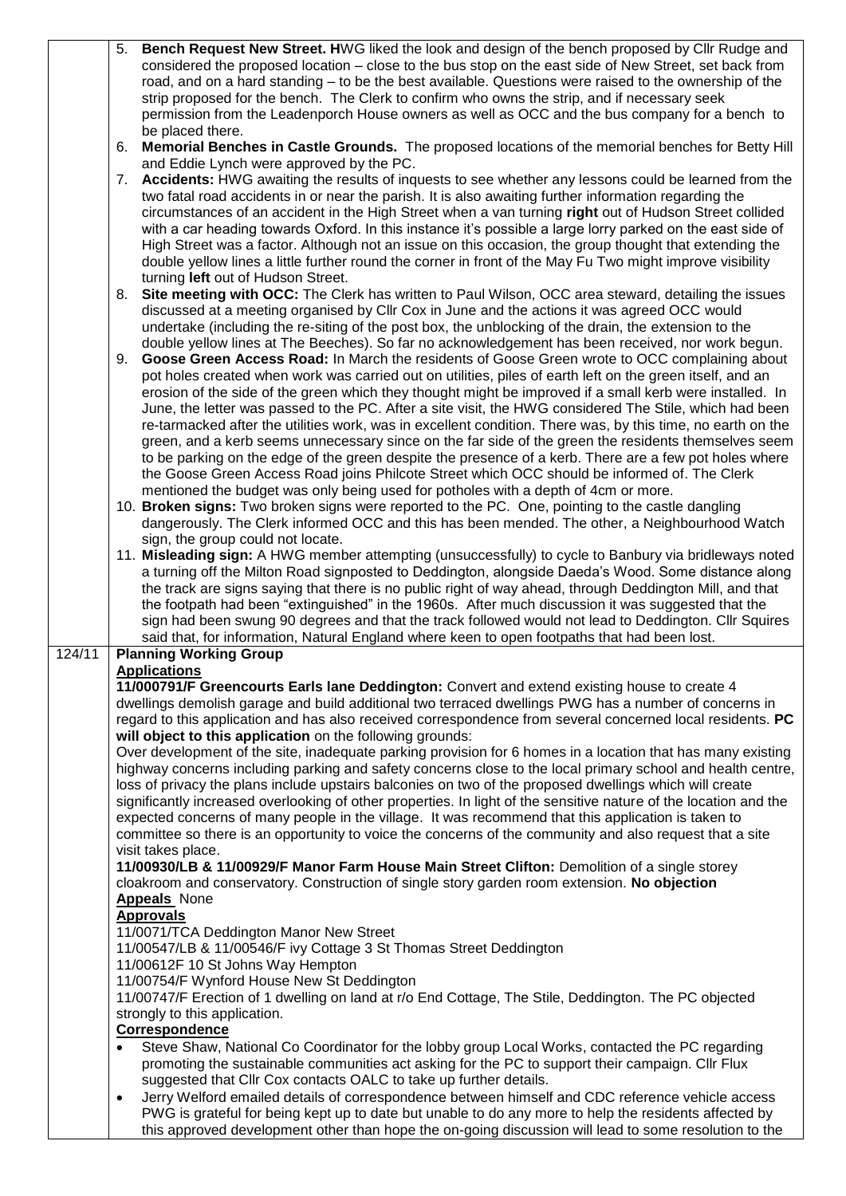|        | <b>Bench Request New Street. H</b> WG liked the look and design of the bench proposed by Cllr Rudge and<br>5.                                                                                                   |  |  |  |  |  |
|--------|-----------------------------------------------------------------------------------------------------------------------------------------------------------------------------------------------------------------|--|--|--|--|--|
|        | considered the proposed location – close to the bus stop on the east side of New Street, set back from                                                                                                          |  |  |  |  |  |
|        | road, and on a hard standing - to be the best available. Questions were raised to the ownership of the                                                                                                          |  |  |  |  |  |
|        | strip proposed for the bench. The Clerk to confirm who owns the strip, and if necessary seek                                                                                                                    |  |  |  |  |  |
|        | permission from the Leadenporch House owners as well as OCC and the bus company for a bench to                                                                                                                  |  |  |  |  |  |
|        | be placed there.                                                                                                                                                                                                |  |  |  |  |  |
|        | <b>Memorial Benches in Castle Grounds.</b> The proposed locations of the memorial benches for Betty Hill<br>6.                                                                                                  |  |  |  |  |  |
|        | and Eddie Lynch were approved by the PC.<br>Accidents: HWG awaiting the results of inquests to see whether any lessons could be learned from the<br>7.                                                          |  |  |  |  |  |
|        | two fatal road accidents in or near the parish. It is also awaiting further information regarding the                                                                                                           |  |  |  |  |  |
|        | circumstances of an accident in the High Street when a van turning right out of Hudson Street collided                                                                                                          |  |  |  |  |  |
|        | with a car heading towards Oxford. In this instance it's possible a large lorry parked on the east side of                                                                                                      |  |  |  |  |  |
|        | High Street was a factor. Although not an issue on this occasion, the group thought that extending the                                                                                                          |  |  |  |  |  |
|        | double yellow lines a little further round the corner in front of the May Fu Two might improve visibility                                                                                                       |  |  |  |  |  |
|        | turning <b>left</b> out of Hudson Street.                                                                                                                                                                       |  |  |  |  |  |
|        | Site meeting with OCC: The Clerk has written to Paul Wilson, OCC area steward, detailing the issues<br>8.                                                                                                       |  |  |  |  |  |
|        | discussed at a meeting organised by Cllr Cox in June and the actions it was agreed OCC would                                                                                                                    |  |  |  |  |  |
|        | undertake (including the re-siting of the post box, the unblocking of the drain, the extension to the                                                                                                           |  |  |  |  |  |
|        | double yellow lines at The Beeches). So far no acknowledgement has been received, nor work begun.                                                                                                               |  |  |  |  |  |
|        | Goose Green Access Road: In March the residents of Goose Green wrote to OCC complaining about<br>9.                                                                                                             |  |  |  |  |  |
|        | pot holes created when work was carried out on utilities, piles of earth left on the green itself, and an                                                                                                       |  |  |  |  |  |
|        | erosion of the side of the green which they thought might be improved if a small kerb were installed. In                                                                                                        |  |  |  |  |  |
|        | June, the letter was passed to the PC. After a site visit, the HWG considered The Stile, which had been                                                                                                         |  |  |  |  |  |
|        | re-tarmacked after the utilities work, was in excellent condition. There was, by this time, no earth on the                                                                                                     |  |  |  |  |  |
|        | green, and a kerb seems unnecessary since on the far side of the green the residents themselves seem                                                                                                            |  |  |  |  |  |
|        | to be parking on the edge of the green despite the presence of a kerb. There are a few pot holes where                                                                                                          |  |  |  |  |  |
|        | the Goose Green Access Road joins Philcote Street which OCC should be informed of. The Clerk                                                                                                                    |  |  |  |  |  |
|        | mentioned the budget was only being used for potholes with a depth of 4cm or more.                                                                                                                              |  |  |  |  |  |
|        | 10. Broken signs: Two broken signs were reported to the PC. One, pointing to the castle dangling                                                                                                                |  |  |  |  |  |
|        | dangerously. The Clerk informed OCC and this has been mended. The other, a Neighbourhood Watch                                                                                                                  |  |  |  |  |  |
|        | sign, the group could not locate.<br>11. Misleading sign: A HWG member attempting (unsuccessfully) to cycle to Banbury via bridleways noted                                                                     |  |  |  |  |  |
|        | a turning off the Milton Road signposted to Deddington, alongside Daeda's Wood. Some distance along                                                                                                             |  |  |  |  |  |
|        | the track are signs saying that there is no public right of way ahead, through Deddington Mill, and that                                                                                                        |  |  |  |  |  |
|        | the footpath had been "extinguished" in the 1960s. After much discussion it was suggested that the                                                                                                              |  |  |  |  |  |
|        | sign had been swung 90 degrees and that the track followed would not lead to Deddington. Cllr Squires                                                                                                           |  |  |  |  |  |
|        | said that, for information, Natural England where keen to open footpaths that had been lost.                                                                                                                    |  |  |  |  |  |
| 124/11 | <b>Planning Working Group</b>                                                                                                                                                                                   |  |  |  |  |  |
|        | <b>Applications</b>                                                                                                                                                                                             |  |  |  |  |  |
|        | 11/000791/F Greencourts Earls lane Deddington: Convert and extend existing house to create 4                                                                                                                    |  |  |  |  |  |
|        | dwellings demolish garage and build additional two terraced dwellings PWG has a number of concerns in                                                                                                           |  |  |  |  |  |
|        | regard to this application and has also received correspondence from several concerned local residents. PC                                                                                                      |  |  |  |  |  |
|        | will object to this application on the following grounds:                                                                                                                                                       |  |  |  |  |  |
|        | Over development of the site, inadequate parking provision for 6 homes in a location that has many existing                                                                                                     |  |  |  |  |  |
|        | highway concerns including parking and safety concerns close to the local primary school and health centre,                                                                                                     |  |  |  |  |  |
|        | loss of privacy the plans include upstairs balconies on two of the proposed dwellings which will create                                                                                                         |  |  |  |  |  |
|        | significantly increased overlooking of other properties. In light of the sensitive nature of the location and the                                                                                               |  |  |  |  |  |
|        | expected concerns of many people in the village. It was recommend that this application is taken to<br>committee so there is an opportunity to voice the concerns of the community and also request that a site |  |  |  |  |  |
|        | visit takes place.                                                                                                                                                                                              |  |  |  |  |  |
|        | 11/00930/LB & 11/00929/F Manor Farm House Main Street Clifton: Demolition of a single storey                                                                                                                    |  |  |  |  |  |
|        | cloakroom and conservatory. Construction of single story garden room extension. No objection                                                                                                                    |  |  |  |  |  |
|        | <b>Appeals</b> None                                                                                                                                                                                             |  |  |  |  |  |
|        | <b>Approvals</b>                                                                                                                                                                                                |  |  |  |  |  |
|        | 11/0071/TCA Deddington Manor New Street                                                                                                                                                                         |  |  |  |  |  |
|        | 11/00547/LB & 11/00546/F ivy Cottage 3 St Thomas Street Deddington                                                                                                                                              |  |  |  |  |  |
|        | 11/00612F 10 St Johns Way Hempton                                                                                                                                                                               |  |  |  |  |  |
|        | 11/00754/F Wynford House New St Deddington                                                                                                                                                                      |  |  |  |  |  |
|        | 11/00747/F Erection of 1 dwelling on land at r/o End Cottage, The Stile, Deddington. The PC objected                                                                                                            |  |  |  |  |  |
|        | strongly to this application.                                                                                                                                                                                   |  |  |  |  |  |
|        | Correspondence                                                                                                                                                                                                  |  |  |  |  |  |
|        | Steve Shaw, National Co Coordinator for the lobby group Local Works, contacted the PC regarding                                                                                                                 |  |  |  |  |  |
|        | promoting the sustainable communities act asking for the PC to support their campaign. Cllr Flux                                                                                                                |  |  |  |  |  |
|        | suggested that Cllr Cox contacts OALC to take up further details.                                                                                                                                               |  |  |  |  |  |
|        | Jerry Welford emailed details of correspondence between himself and CDC reference vehicle access<br>PWG is grateful for being kept up to date but unable to do any more to help the residents affected by       |  |  |  |  |  |
|        | this approved development other than hope the on-going discussion will lead to some resolution to the                                                                                                           |  |  |  |  |  |
|        |                                                                                                                                                                                                                 |  |  |  |  |  |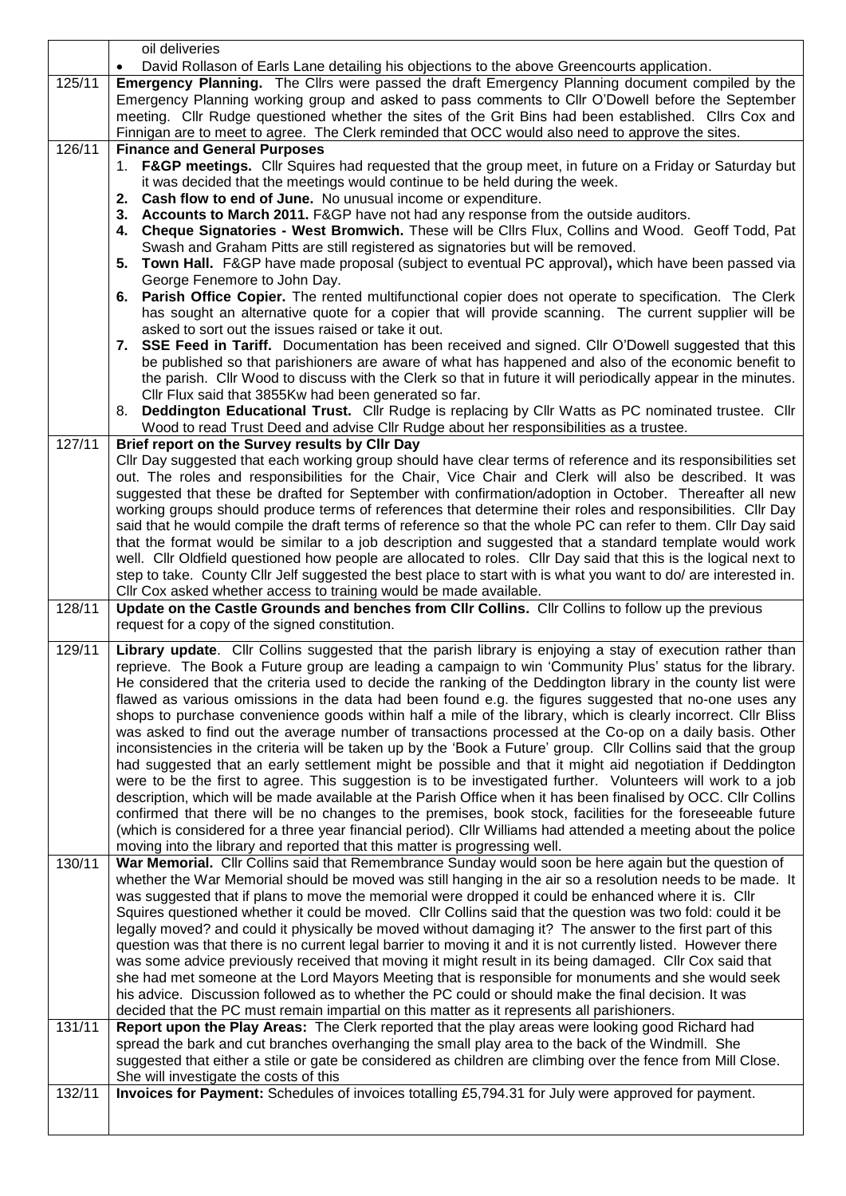|        | oil deliveries                                                                                                                                                                                                           |  |  |  |  |  |
|--------|--------------------------------------------------------------------------------------------------------------------------------------------------------------------------------------------------------------------------|--|--|--|--|--|
|        | David Rollason of Earls Lane detailing his objections to the above Greencourts application.<br>$\bullet$                                                                                                                 |  |  |  |  |  |
| 125/11 | Emergency Planning. The Cllrs were passed the draft Emergency Planning document compiled by the                                                                                                                          |  |  |  |  |  |
|        | Emergency Planning working group and asked to pass comments to Cllr O'Dowell before the September<br>meeting. Cllr Rudge questioned whether the sites of the Grit Bins had been established. Cllrs Cox and               |  |  |  |  |  |
|        | Finnigan are to meet to agree. The Clerk reminded that OCC would also need to approve the sites.                                                                                                                         |  |  |  |  |  |
| 126/11 | <b>Finance and General Purposes</b>                                                                                                                                                                                      |  |  |  |  |  |
|        | <b>F&amp;GP meetings.</b> Cllr Squires had requested that the group meet, in future on a Friday or Saturday but                                                                                                          |  |  |  |  |  |
|        | it was decided that the meetings would continue to be held during the week.                                                                                                                                              |  |  |  |  |  |
|        | Cash flow to end of June. No unusual income or expenditure.<br>2.                                                                                                                                                        |  |  |  |  |  |
|        | 3. Accounts to March 2011. F&GP have not had any response from the outside auditors.                                                                                                                                     |  |  |  |  |  |
|        | 4. Cheque Signatories - West Bromwich. These will be Cllrs Flux, Collins and Wood. Geoff Todd, Pat                                                                                                                       |  |  |  |  |  |
|        | Swash and Graham Pitts are still registered as signatories but will be removed.<br>5. Town Hall. F&GP have made proposal (subject to eventual PC approval), which have been passed via                                   |  |  |  |  |  |
|        | George Fenemore to John Day.                                                                                                                                                                                             |  |  |  |  |  |
|        | Parish Office Copier. The rented multifunctional copier does not operate to specification. The Clerk<br>6.                                                                                                               |  |  |  |  |  |
|        | has sought an alternative quote for a copier that will provide scanning. The current supplier will be                                                                                                                    |  |  |  |  |  |
|        | asked to sort out the issues raised or take it out.                                                                                                                                                                      |  |  |  |  |  |
|        | 7. SSE Feed in Tariff. Documentation has been received and signed. Cllr O'Dowell suggested that this                                                                                                                     |  |  |  |  |  |
|        | be published so that parishioners are aware of what has happened and also of the economic benefit to                                                                                                                     |  |  |  |  |  |
|        | the parish. Cllr Wood to discuss with the Clerk so that in future it will periodically appear in the minutes.<br>Cllr Flux said that 3855Kw had been generated so far.                                                   |  |  |  |  |  |
|        | Deddington Educational Trust. Cllr Rudge is replacing by Cllr Watts as PC nominated trustee. Cllr<br>8.                                                                                                                  |  |  |  |  |  |
|        | Wood to read Trust Deed and advise Cllr Rudge about her responsibilities as a trustee.                                                                                                                                   |  |  |  |  |  |
| 127/11 | Brief report on the Survey results by Cllr Day                                                                                                                                                                           |  |  |  |  |  |
|        | CIIr Day suggested that each working group should have clear terms of reference and its responsibilities set                                                                                                             |  |  |  |  |  |
|        | out. The roles and responsibilities for the Chair, Vice Chair and Clerk will also be described. It was                                                                                                                   |  |  |  |  |  |
|        | suggested that these be drafted for September with confirmation/adoption in October. Thereafter all new                                                                                                                  |  |  |  |  |  |
|        | working groups should produce terms of references that determine their roles and responsibilities. Cllr Day                                                                                                              |  |  |  |  |  |
|        | said that he would compile the draft terms of reference so that the whole PC can refer to them. Cllr Day said<br>that the format would be similar to a job description and suggested that a standard template would work |  |  |  |  |  |
|        | well. Cllr Oldfield questioned how people are allocated to roles. Cllr Day said that this is the logical next to                                                                                                         |  |  |  |  |  |
|        | step to take. County Cllr Jelf suggested the best place to start with is what you want to do/ are interested in.                                                                                                         |  |  |  |  |  |
|        | Cllr Cox asked whether access to training would be made available.                                                                                                                                                       |  |  |  |  |  |
| 128/11 | Update on the Castle Grounds and benches from CIIr Collins. Cllr Collins to follow up the previous                                                                                                                       |  |  |  |  |  |
|        | request for a copy of the signed constitution.                                                                                                                                                                           |  |  |  |  |  |
| 129/11 | Library update. Cllr Collins suggested that the parish library is enjoying a stay of execution rather than                                                                                                               |  |  |  |  |  |
|        | reprieve. The Book a Future group are leading a campaign to win 'Community Plus' status for the library.                                                                                                                 |  |  |  |  |  |
|        | He considered that the criteria used to decide the ranking of the Deddington library in the county list were<br>flawed as various omissions in the data had been found e.g. the figures suggested that no-one uses any   |  |  |  |  |  |
|        | shops to purchase convenience goods within half a mile of the library, which is clearly incorrect. Cllr Bliss                                                                                                            |  |  |  |  |  |
|        | was asked to find out the average number of transactions processed at the Co-op on a daily basis. Other                                                                                                                  |  |  |  |  |  |
|        | inconsistencies in the criteria will be taken up by the 'Book a Future' group. Cllr Collins said that the group                                                                                                          |  |  |  |  |  |
|        | had suggested that an early settlement might be possible and that it might aid negotiation if Deddington                                                                                                                 |  |  |  |  |  |
|        | were to be the first to agree. This suggestion is to be investigated further. Volunteers will work to a job                                                                                                              |  |  |  |  |  |
|        | description, which will be made available at the Parish Office when it has been finalised by OCC. Cllr Collins                                                                                                           |  |  |  |  |  |
|        |                                                                                                                                                                                                                          |  |  |  |  |  |
|        | confirmed that there will be no changes to the premises, book stock, facilities for the foreseeable future                                                                                                               |  |  |  |  |  |
|        | (which is considered for a three year financial period). Cllr Williams had attended a meeting about the police                                                                                                           |  |  |  |  |  |
| 130/11 | moving into the library and reported that this matter is progressing well.<br>War Memorial. Cllr Collins said that Remembrance Sunday would soon be here again but the question of                                       |  |  |  |  |  |
|        | whether the War Memorial should be moved was still hanging in the air so a resolution needs to be made. It                                                                                                               |  |  |  |  |  |
|        | was suggested that if plans to move the memorial were dropped it could be enhanced where it is. Cllr                                                                                                                     |  |  |  |  |  |
|        | Squires questioned whether it could be moved. Cllr Collins said that the question was two fold: could it be                                                                                                              |  |  |  |  |  |
|        | legally moved? and could it physically be moved without damaging it? The answer to the first part of this                                                                                                                |  |  |  |  |  |
|        | question was that there is no current legal barrier to moving it and it is not currently listed. However there                                                                                                           |  |  |  |  |  |
|        | was some advice previously received that moving it might result in its being damaged. Cllr Cox said that                                                                                                                 |  |  |  |  |  |
|        | she had met someone at the Lord Mayors Meeting that is responsible for monuments and she would seek<br>his advice. Discussion followed as to whether the PC could or should make the final decision. It was              |  |  |  |  |  |
|        | decided that the PC must remain impartial on this matter as it represents all parishioners.                                                                                                                              |  |  |  |  |  |
| 131/11 | Report upon the Play Areas: The Clerk reported that the play areas were looking good Richard had                                                                                                                         |  |  |  |  |  |
|        | spread the bark and cut branches overhanging the small play area to the back of the Windmill. She                                                                                                                        |  |  |  |  |  |
|        | suggested that either a stile or gate be considered as children are climbing over the fence from Mill Close.                                                                                                             |  |  |  |  |  |
|        | She will investigate the costs of this                                                                                                                                                                                   |  |  |  |  |  |
| 132/11 | Invoices for Payment: Schedules of invoices totalling £5,794.31 for July were approved for payment.                                                                                                                      |  |  |  |  |  |